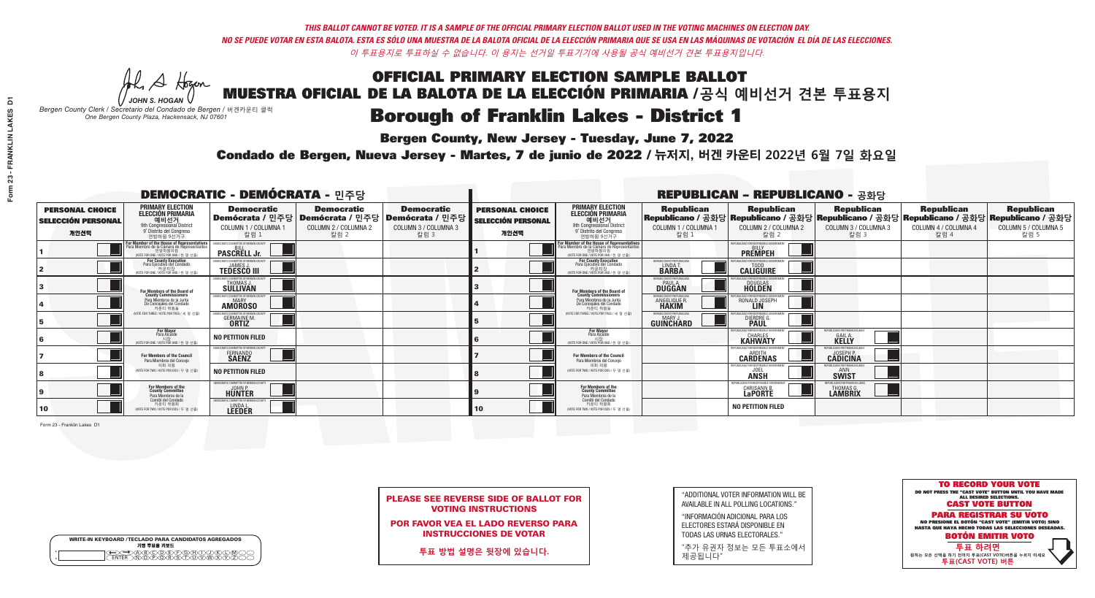**Bergen County, New Jersey - Tuesday, June 7, 2022** 

A Hogan *JOHN S. HOGAN*

| <b>WRITE-IN KEYBOARD /TECLADO PARA CANDIDATOS AGREGADOS</b><br>기명 투표용 키보드 |  |
|---------------------------------------------------------------------------|--|
| )®©®©©©®©<br>`©®®®®©™™                                                    |  |

*Bergen County Clerk / Secretario del Condado de Bergen /* 버겐카운티 클럭 *One Bergen County Plaza, Hackensack, NJ 07601*

Condado de Bergen, Nueva Jersey - Martes, 7 de junio de 2022 / 뉴저지, 버겐 카운티 2022년 6월 7일 화요일 *One Bergen County Plaza, Hackensack, NJ 07601*



PLEASE SEE REVERSE SIDE OF BALLOT FOR VOTING INSTRUCTIONS

POR FAVOR VEA EL LADO REVERSO PARA INSTRUCCIONES DE VOTAR

**투표 방법 설명은 뒷장에 있습니다.**

| "ADDITIONAL VOTER INFORMATION WILL BE |
|---------------------------------------|
| AVAILABLE IN ALL POLLING LOCATIONS."  |

"INFORMACIÓN ADICIONAL PARA LOS ELECTORES ESTARÁ DISPONIBLE EN TODAS LAS URNAS ELECTORALES."

"추가 유권자 정보는 모든 투표소에서 제공됩니다"

| <b>DEMOCRATIC - DEMÓCRATA - 민주당</b>                         |                                                                                                                                                          |                                                                            |                                                   |                                                                                                        |                                                             |                                                                                                                                               |                                                                | <b>REPUBLICAN - REPUBLICANO - 공화당</b>                                                                                                            |                                                            |                                                   |                                                   |
|-------------------------------------------------------------|----------------------------------------------------------------------------------------------------------------------------------------------------------|----------------------------------------------------------------------------|---------------------------------------------------|--------------------------------------------------------------------------------------------------------|-------------------------------------------------------------|-----------------------------------------------------------------------------------------------------------------------------------------------|----------------------------------------------------------------|--------------------------------------------------------------------------------------------------------------------------------------------------|------------------------------------------------------------|---------------------------------------------------|---------------------------------------------------|
| <b>PERSONAL CHOICE</b><br><b>SELECCIÓN PERSONAL</b><br>개인선택 | <b>PRIMARY ELECTION</b><br><b>ELECCIÓN PRIMARIA</b><br>예비선거<br><sup>9th</sup> Congressional District<br><sup>9'</sup> Distrito del Congreso<br>연방하원 9선거구 | <b>Democratic</b><br>COLUMN 1 / COLUMNA 1<br>칼럼 1                          | <b>Democratic</b><br>COLUMN 2 / COLUMNA 2<br>칼럼 2 | <b>Democratic</b><br>│Demócrata / 민주당│Demócrata / 민주당│Demócrata / 민주당┃<br>COLUMN 3 / COLUMNA 3<br>칼럼 3 | <b>PERSONAL CHOICE</b><br><b>SELECCIÓN PERSONAL</b><br>개인선택 | <b>PRIMARY ELECTION</b><br>ELECCIÓN PRIMARIA<br>9th Congressional District<br>9° Distrito del Congreso<br>연방하워 9선거구                           | <b>Republican</b><br>COLUMN 1 / COLUMNA 1<br>칼럼 1              | <b>Republican</b><br>│Republicano / 공화당│Republicano / 공화당│Republicano / 공화당│Republicano / 공화당│Republicano / 공화당│<br>COLUMN 2 / COLUMNA 2<br>칼럼 2 | <b>Republican</b><br>COLUMN 3 / COLUMNA 3<br>칼럼 3          | <b>Republican</b><br>COLUMN 4 / COLUMNA 4<br>칼럼 4 | <b>Republican</b><br>COLUMN 5 / COLUMNA 5<br>칼럼 5 |
|                                                             | <b>For Member of the House of Representatives</b><br>Para Miembro de la Cámara de Representantes<br>연방하원의원<br>(VOTE FOR ONE / VOTE POR UNO / 한 명 선출)     | <b>PASCRELL Jr.</b>                                                        |                                                   |                                                                                                        |                                                             | For Member of the House of Representatives<br>Para Miembro de la Cámara de Representantes<br>연방하원의원<br>(VOTE FOR ONE / VOTE POR UNO / 한 명 선출) |                                                                | <b>PREMPEH</b>                                                                                                                                   |                                                            |                                                   |                                                   |
|                                                             | For County Executive<br>Para Ejecutivo del Condado<br>7 카운티장<br>(VOTE FOR ONE / VOTE POR UNO / 한 명 선출)                                                   | EMOCRATIC COMMITTEE OF BERGEN COUNTY<br><b>TEDESCO III</b>                 |                                                   |                                                                                                        |                                                             | <b>For County Executive</b><br>Para Ejecutivo del Condado<br>가운티장<br>(VOTE FOR ONE / VOTE POR UNO / 한 명 선출                                    | BERGEN COUNTY REPUBLICAN:<br>LINDA T.                          | <b>CALIGUIRE</b>                                                                                                                                 |                                                            |                                                   |                                                   |
|                                                             | For Members of the Board of<br>County Commissioners                                                                                                      | EMOCRATIC COMMITTEE OF BERGEN COUNT<br><b>THOMAS J.</b><br><b>SULLIVAN</b> |                                                   |                                                                                                        |                                                             | For Members of the Board of<br>County Commissioners                                                                                           | ERGEN COUNTY REPUBLICA<br><b>DUGGAN</b>                        | DOUGLAS<br><b>HOLDEN</b>                                                                                                                         |                                                            |                                                   |                                                   |
|                                                             | Para Miembros de la Junta<br>De Concejales del Condado<br>카우티 위원들                                                                                        | MOCRATIC COMMITTEE OF BERGEN COUNT<br><b>AMOROSO</b>                       |                                                   |                                                                                                        |                                                             | Para Miembros de la Junta<br>De Concejales del Condado<br>카운티 위원들                                                                             | ERGEN COUNTY REPUBLICAN:<br><b>ANGELIQUE R</b><br><b>HAKIM</b> | RONALD JOSEPH                                                                                                                                    |                                                            |                                                   |                                                   |
|                                                             | NOTE FOR THREE / VOTE POR TRES / 세 명 선출)                                                                                                                 | 'RATIC COMMITTEE OF RERGEN COLIN<br><b>GERMAINE M.</b><br><b>ORTIZ</b>     |                                                   |                                                                                                        |                                                             | (VOTE FOR THREE / VOTE POR TRES / 세 명 선출)                                                                                                     | BERGEN COUNTY REPUBLICANS<br><b>GUINCHARD</b>                  | DIERDRE G                                                                                                                                        |                                                            |                                                   |                                                   |
|                                                             | <b>For Mayor</b><br>Para Alcalde<br>NOTE FOR ONE / VOTE POR UNO / 한 명 신                                                                                  | <b>NO PETITION FILED</b>                                                   |                                                   |                                                                                                        |                                                             | <b>For Mayor</b><br>Para Alcalde<br>(VOTE FOR ONE / VOTE POR UNO / 한 명 선출                                                                     |                                                                | <b>CHARLES</b><br><b>KAHWATY</b>                                                                                                                 | PUBLICANS FOR FRANKLIN LAKES<br><b>GAIL A.</b><br>KELLY    |                                                   |                                                   |
|                                                             | For Members of the Council<br>Para Miembros del Conceio                                                                                                  | MOCRATIC COMMITTEE OF BERGEN COUNTY<br>FERNANDO<br><b>SAENZ</b>            |                                                   |                                                                                                        |                                                             | For Members of the Council<br>Para Miembros del Conceio                                                                                       |                                                                | PUBLICANS FOR RESPONSIBLE GO<br><b>CARDENAS</b>                                                                                                  | <b>ICANS FOR FRANKLIN LAKE</b><br><b>CADICINA</b>          |                                                   |                                                   |
|                                                             | 의회 의원<br>(VOTE FOR TWO / VOTE POR DOS / 두 명 선출)                                                                                                          | <b>NO PETITION FILED</b>                                                   |                                                   |                                                                                                        |                                                             | 의회 의원<br>(VOTE FOR TWO / VOTE POR DOS / 두 명 선출)                                                                                               |                                                                | EPUBLICANS FOR RESPONSIBLE GOVERNMEN<br><b>JOEL</b><br><b>ANSH</b>                                                                               | FPURI ICANS FOR FRANKI IN I AKF<br><b>SWIST</b>            |                                                   |                                                   |
|                                                             | For Members of the<br>County Committee<br>Para Miembros de la                                                                                            | MOCRATIC COMMITTEE OF BERGEN COUNTY<br>HUNTER                              |                                                   |                                                                                                        |                                                             | For Members of the<br>County Committee<br>Para Miembros de la<br>Comité del Condado                                                           |                                                                | REPUBLICANS FOR RESPONSIBLE (<br><b>CHRISANNE</b><br><b>LaPORTE</b>                                                                              | JBI ICANS FOR FRANKLIN LAKE<br>THOMAS G.<br><b>LAMBRIX</b> |                                                   |                                                   |
| 10                                                          | Comité del Condado<br>카운티 위원회<br>(VOTE FOR TWO / VOTE POR DOS / 두 명 선출)                                                                                  | CRATIC COMMITTEE OF REBGEN COUNTY<br>LINDA L.                              |                                                   |                                                                                                        | 10                                                          | 카운티 위원회<br>(VOTE FOR TWO / VOTE POR DOS / 두 명 선출)                                                                                             |                                                                | <b>NO PETITION FILED</b>                                                                                                                         |                                                            |                                                   |                                                   |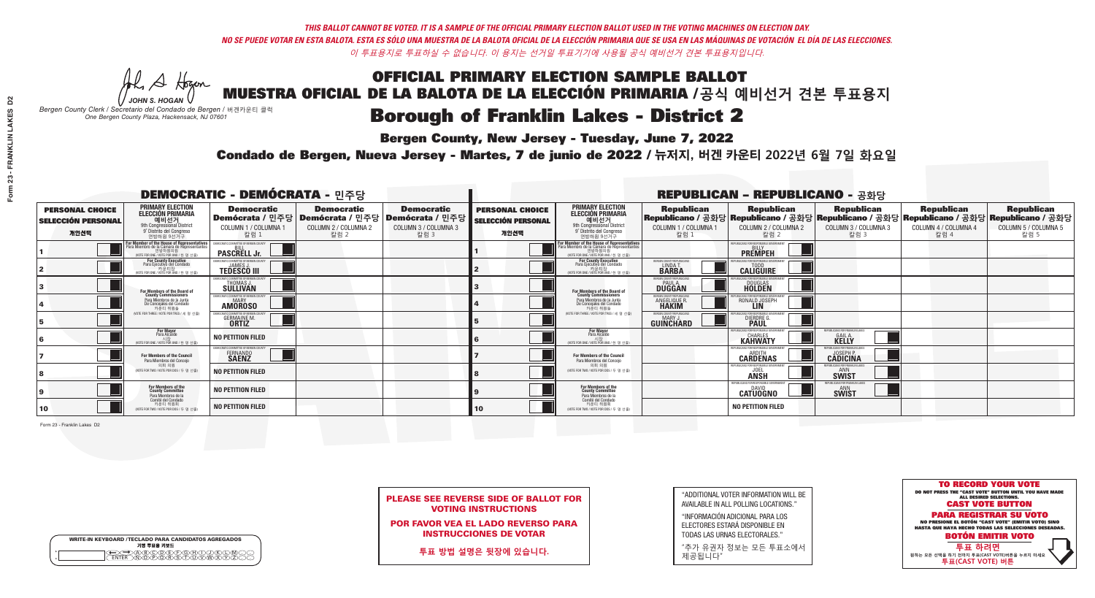**Bergen County, New Jersey - Tuesday, June 7, 2022** 

A Hogan *JOHN S. HOGAN*

| <b>WRITE-IN KEYBOARD /TECLADO PARA CANDIDATOS AGREGADOS</b><br>기명 투표용 키보드 |  |
|---------------------------------------------------------------------------|--|
| >@®©@®®®®®O@<br>`^™@®@®®\$^™™™                                            |  |

*Bergen County Clerk / Secretario del Condado de Bergen /* 버겐카운티 클럭 *One Bergen County Plaza, Hackensack, NJ 07601*

Condado de Bergen, Nueva Jersey - Martes, 7 de junio de 2022 / 뉴저지, 버겐 카운티 2022년 6월 7일 화요일 *One Bergen County Plaza, Hackensack, NJ 07601*



PLEASE SEE REVERSE SIDE OF BALLOT FOR VOTING INSTRUCTIONS

POR FAVOR VEA EL LADO REVERSO PARA INSTRUCCIONES DE VOTAR

**투표 방법 설명은 뒷장에 있습니다.**

| "ADDITIONAL VOTER INFORMATION WILL BE |
|---------------------------------------|
| AVAILABLE IN ALL POLLING LOCATIONS."  |

"INFORMACIÓN ADICIONAL PARA LOS ELECTORES ESTARÁ DISPONIBLE EN TODAS LAS URNAS ELECTORALES."

"추가 유권자 정보는 모든 투표소에서 제공됩니다"

| <b>DEMOCRATIC - DEMÓCRATA - 민주당</b>                         |                                                                                                                                             |                                                            |                                                                                                       |                                                   |                                                             |                                                                                                                                                                  |                                                   | <b>REPUBLICAN - REPUBLICANO - 공화당</b>                                                                                                           |                                                          |                                                   |                                                   |
|-------------------------------------------------------------|---------------------------------------------------------------------------------------------------------------------------------------------|------------------------------------------------------------|-------------------------------------------------------------------------------------------------------|---------------------------------------------------|-------------------------------------------------------------|------------------------------------------------------------------------------------------------------------------------------------------------------------------|---------------------------------------------------|-------------------------------------------------------------------------------------------------------------------------------------------------|----------------------------------------------------------|---------------------------------------------------|---------------------------------------------------|
| <b>PERSONAL CHOICE</b><br><b>SELECCIÓN PERSONAL</b><br>개인선택 | <b>PRIMARY ELECTION</b><br><b>ELECCIÓN PRIMARIA</b><br>예비선거<br>9th Congressional District<br>9° Distrito del Congreso<br>연방하원 9선거구          | <b>Democratic</b><br>COLUMN 1 / COLUMNA 1<br>칼럼 1          | <b>Democratic</b><br>│Demócrata / 민주당│Demócrata / 민주당│Demócrata / 민주당<br>COLUMN 2 / COLUMNA 2<br>칼럼 2 | <b>Democratic</b><br>COLUMN 3 / COLUMNA 3<br>칼럼 3 | <b>PERSONAL CHOICE</b><br><b>SELECCIÓN PERSONAL</b><br>개인선택 | <b>PRIMARY ELECTION</b><br>ELECCIÓN PRIMARIA<br>9th Congressional District<br>9° Distrito del Congreso<br>연방하원 9선거구                                              | <b>Republican</b><br>COLUMN 1 / COLUMNA 1<br>칼럼 1 | <b>Republican</b><br>│Republicano / 공화당│Republicano / 공화당│Republicano / 공화당│Republicano / 공화당│Republicano / 공화당<br>COLUMN 2 / COLUMNA 2<br>칼럼 2 | <b>Republican</b><br>COLUMN 3 / COLUMNA 3<br>칼럼 3        | <b>Republican</b><br>COLUMN 4 / COLUMNA 4<br>칼럼 4 | <b>Republican</b><br>COLUMN 5 / COLUMNA 5<br>칼럼 5 |
|                                                             | or Member of the House of Representatives<br>ara Miembro de la Cámara de Representantes<br>연방하원의원<br>(VOTE FOR ONE / VOTE POR UNO / 한 명 선출) | <b>PASCRELL Jr.</b>                                        |                                                                                                       |                                                   |                                                             | .<br>F <mark>or Member of the House of Representatives</mark><br>Para Miembro de la Cámara de Representantes<br>연방하원의원<br>(VOTE FOR ONE / VOTE POR UNO / 한 명 선출) |                                                   | EPUBLICANS FOR RESPONSIBLE GOVERNME<br><b>PREMPEH</b>                                                                                           |                                                          |                                                   |                                                   |
|                                                             | For County Executive<br>Para Ejecutivo del Condado<br>가운티장<br>(VOTE FOR ONE / VOTE POR UNO / 한 명 선출)                                        | EMOCRATIC COMMITTEE OF BERGEN COUNTY<br><b>TEDESCO III</b> |                                                                                                       |                                                   |                                                             | <b>For County Executive</b><br>Para Ejecutivo del Condado<br>7) 카운티장<br>(VOTE FOR ONE / VOTE POR UNO / 한 명 선출)                                                   | ERGEN COUNTY REPUBLICAN<br>LINDA T.               | PUBLICANS FOR RESPONSIBLE GOVERNMEN<br><b>CALIGUIRE</b>                                                                                         |                                                          |                                                   |                                                   |
|                                                             | For Members of the Board of<br>County Commissioners                                                                                         | EMOCRATIC COMMITTEE OF BERGEN COUNTY<br>THOMAS J.          |                                                                                                       |                                                   |                                                             | For Members of the Board of<br>County Commissioners                                                                                                              | ERGEN COUNTY REPUBLICAN<br>PAUL A.<br>DUGGAN      | <b>DOUGLAS</b>                                                                                                                                  |                                                          |                                                   |                                                   |
|                                                             | Para Miembros de la Junta<br>De Concejales del Condado<br>카우티 위원들                                                                           | IOCRATIC COMMITTEE OF BERGEN COUNT<br><b>AMOROSO</b>       |                                                                                                       |                                                   |                                                             | Para Miembros de la Junta<br>De Concejales del Condado<br>카운티 위원들                                                                                                | <b>ERGEN COUNTY REPUBLICAN</b><br>ANGELIQUE R     | RONALD JOSEPH                                                                                                                                   |                                                          |                                                   |                                                   |
|                                                             | (VOTE FOR THREE / VOTE POR TRES / 세 명 선출)                                                                                                   | ATIC COMMITTEE OF BERGEN C<br>GERMAINE M.<br><b>ORTIZ</b>  |                                                                                                       |                                                   |                                                             | (VOTE FOR THREE / VOTE POR TRES / 세 명 선출)                                                                                                                        | ERGEN COUNTY REPUBLICAN<br><b>GUINCHARD</b>       | <b>DIERDRE</b>                                                                                                                                  |                                                          |                                                   |                                                   |
|                                                             | <b>For Mayor</b><br>Para Alcalde                                                                                                            | NO PETITION FILED                                          |                                                                                                       |                                                   |                                                             | <b>For Mayor</b><br>Para Alcalde<br>(VOTE FOR ONE / VOTE POR UNO / 한 명 선출)                                                                                       |                                                   | HRI ICANS FOR RESPONSIRI E (<br><b>CHARLES</b><br><b>KAHWATY</b>                                                                                | EPUBLICANS FOR FRANKLIN LAKES<br><b>GAIL A.</b><br>KELLY |                                                   |                                                   |
|                                                             | For Members of the Council<br>Para Miembros del Conceio                                                                                     | EMOCRATIC COMMITTEE OF BERGEN COUNTY<br>FERNANDO           |                                                                                                       |                                                   |                                                             | <b>For Members of the Council</b><br>Para Miembros del Concejo                                                                                                   |                                                   | <b>CARDENAS</b>                                                                                                                                 | FPHRI ICANS FOR FRANKLIN LAKE<br><b>CĂDICINA</b>         |                                                   |                                                   |
|                                                             | 의회 의워<br>(VOTE FOR TWO / VOTE POR DOS / 두 명 선출)                                                                                             | <b>NO PETITION FILED</b>                                   |                                                                                                       |                                                   |                                                             | 의회 의워<br>NOTE FOR TWO / VOTE POR DOS / 두 명 선출)                                                                                                                   |                                                   | FPUBLICANS FOR RESPONSIBLE G<br><b>ANSH</b>                                                                                                     | PUBLICANS FOR FRANKLIN LAKES<br><b>SWIST</b>             |                                                   |                                                   |
|                                                             | For Members of the<br>County Committee<br>Para Miembros de la                                                                               | <b>NO PETITION FILED</b>                                   |                                                                                                       |                                                   |                                                             | For Members of the<br>County Committee<br>Para Miembros de la                                                                                                    |                                                   | REPUBLICANS FOR RESPONSIBLE<br><b>CATUOGNO</b>                                                                                                  | CANS FOR FRANKLIN L<br><b>SWIST</b>                      |                                                   |                                                   |
| $ 10\rangle$                                                | Comité del Condado<br>카운티 위원회<br>(VOTE FOR TWO / VOTE POR DOS / 두 명 선출)                                                                     | <b>NO PETITION FILED</b>                                   |                                                                                                       |                                                   | 10                                                          | Comité del Condado<br>카운티 위원회<br>(VOTE FOR TWO / VOTE POR DOS / 두 명 선출)                                                                                          |                                                   | <b>NO PETITION FILED</b>                                                                                                                        |                                                          |                                                   |                                                   |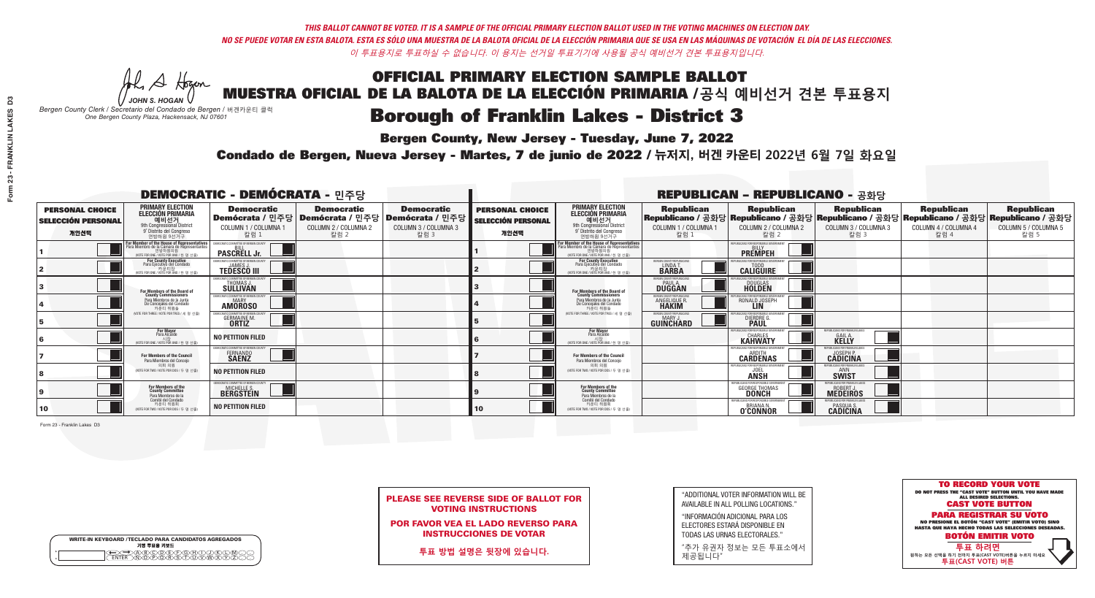**Bergen County, New Jersey - Tuesday, June 7, 2022** 

A Hogan *JOHN S. HOGAN*

| <b>WRITE-IN KEYBOARD /TECLADO PARA CANDIDATOS AGREGADOS</b><br>기명 투표용 키보드 |  |
|---------------------------------------------------------------------------|--|
| <b>FNTFR</b>                                                              |  |

*Bergen County Clerk / Secretario del Condado de Bergen /* 버겐카운티 클럭 *One Bergen County Plaza, Hackensack, NJ 07601*

Condado de Bergen, Nueva Jersey - Martes, 7 de junio de 2022 / 뉴저지, 버겐 카운티 2022년 6월 7일 화요일 *One Bergen County Plaza, Hackensack, NJ 07601*



PLEASE SEE REVERSE SIDE OF BALLOT FOR VOTING INSTRUCTIONS

POR FAVOR VEA EL LADO REVERSO PARA INSTRUCCIONES DE VOTAR

**투표 방법 설명은 뒷장에 있습니다.**

| "ADDITIONAL VOTER INFORMATION WILL BE |
|---------------------------------------|
| AVAILABLE IN ALL POLLING LOCATIONS."  |

"INFORMACIÓN ADICIONAL PARA LOS ELECTORES ESTARÁ DISPONIBLE EN TODAS LAS URNAS ELECTORALES."

"추가 유권자 정보는 모든 투표소에서 제공됩니다"

| <b>DEMOCRATIC - DEMÓCRATA - 민주당</b>                         |                                                                                                                                                          |                                                                           |                                                   |                                                                                                        |                                                             |                                                                                                                                                       |                                                           | <b>REPUBLICAN - REPUBLICANO - 공화당</b>                                                                                                          |                                                                |                                                   |                                                   |
|-------------------------------------------------------------|----------------------------------------------------------------------------------------------------------------------------------------------------------|---------------------------------------------------------------------------|---------------------------------------------------|--------------------------------------------------------------------------------------------------------|-------------------------------------------------------------|-------------------------------------------------------------------------------------------------------------------------------------------------------|-----------------------------------------------------------|------------------------------------------------------------------------------------------------------------------------------------------------|----------------------------------------------------------------|---------------------------------------------------|---------------------------------------------------|
| <b>PERSONAL CHOICE</b><br><b>SELECCIÓN PERSONAL</b><br>개인선택 | <b>PRIMARY ELECTION</b><br><b>ELECCIÓN PRIMARIA</b><br>예비선거<br><sup>9th</sup> Congressional District<br><sup>9'</sup> Distrito del Congreso<br>연방하워 9선거구 | <b>Democratic</b><br>COLUMN 1 / COLUMNA 1<br>칼럼 1                         | <b>Democratic</b><br>COLUMN 2 / COLUMNA 2<br>칼럼 2 | <b>Democratic</b><br>│Demócrata / 민주당│Demócrata / 민주당│Demócrata / 민주당│<br>COLUMN 3 / COLUMNA 3<br>칼럼 3 | <b>PERSONAL CHOICE</b><br><b>SELECCIÓN PERSONAL</b><br>개인선택 | <b>PRIMARY ELECTION</b><br>ELECCIÓN PRIMARIA<br>9th Congressional District<br>9° Distrito del Congreso<br>연방하워 9선거구                                   | <b>Republican</b><br>COLUMN 1 / COLUMNA 1<br>칼럼 1         | <b>Republican</b><br>Republicano / 공화당 Republicano / 공화당 Republicano / 공화당 Republicano / 공화당 Republicano / 공화당<br>COLUMN 2 / COLUMNA 2<br>칼럼 2 | <b>Republican</b><br>COLUMN 3 / COLUMNA 3<br>칼럼 3              | <b>Republican</b><br>COLUMN 4 / COLUMNA 4<br>칼럼 4 | <b>Republican</b><br>COLUMN 5 / COLUMNA 5<br>칼럼 5 |
|                                                             | or Member of the House of Representatives<br>ara Miembro de la Cámara de Representantes<br>연방하원의원<br>(VOTE FOR ONE / VOTE POR UNO / 한 명 선출)              | <b>PASCRELL Jr.</b>                                                       |                                                   |                                                                                                        |                                                             | <b>For Member of the House of Representatives<br/>Para Miembro de la Cámara de Representantes</b><br>연방하원의원<br>(VOTE FOR ONE / VOTE POR UNO / 한 명 선출) |                                                           | <b>PREMPEH</b>                                                                                                                                 |                                                                |                                                   |                                                   |
|                                                             | For County Executive<br>Para Ejecutivo del Condado<br>7 카운티장<br>(VOTE FOR ONE / VOTE POR UNO / 한 명 선출)                                                   | DEMOCRATIC COMMITTEE OF BERGEN COUNTY<br><b>TEDESCO III</b>               |                                                   |                                                                                                        |                                                             | For County Executive<br>Para Ejecutivo del Condado<br>7 카운티장<br>(VOTE FOR ONE / VOTE POR UNO / 한 명 선출)                                                | BERGEN COUNTY REPUBLICAN<br>LINDA T.                      | <b>CALIGUIRE</b>                                                                                                                               |                                                                |                                                   |                                                   |
|                                                             | For Members of the Board of<br>County Commissioners                                                                                                      | EMOCRATIC COMMITTEE OF BERGEN COUN<br><b>THOMAS J.</b><br><b>SULLIVAN</b> |                                                   |                                                                                                        |                                                             | For Members of the Board of<br>County Commissioners                                                                                                   | ERGEN COUNTY REPUBLICA<br><b>PAUL A.</b><br><b>DUGGAN</b> | <b>DOUGLAS</b><br><b>HOLDEN</b>                                                                                                                |                                                                |                                                   |                                                   |
|                                                             | Para Miembros de la Junta<br>De Concejales del Condado<br>카우티 위원들                                                                                        | <b>10CRATIC COMMITTEE OF BERGEN COUNT</b><br><b>AMOROSO</b>               |                                                   |                                                                                                        |                                                             | Para Miembros de la Junta<br>De Concejales del Condado<br>카우티 위원들                                                                                     | ERGEN COUNTY REPUBLICAN<br>ANGELIQUE R                    | ICANS FOR RESPONSIBLE GOVERNMEN<br>RONALD JOSEPH                                                                                               |                                                                |                                                   |                                                   |
|                                                             | NOTE FOR THREE / VOTE POR TRES / 세 명 선출)                                                                                                                 | 'RATIC COMMITTEE OF RERGEN COLIN<br><b>GERMAINE M.</b><br><b>ORTIZ</b>    |                                                   |                                                                                                        |                                                             | (VOTE FOR THREE / VOTE POR TRES / 세 명 선출)                                                                                                             | BERGEN COUNTY REPUBLICANS<br><b>GUINCHARD</b>             | LICANS FOR RESPONSIBLE (<br>DIERDRE G                                                                                                          |                                                                |                                                   |                                                   |
|                                                             | <b>For Mayor</b><br>Para Alcalde<br>NOTE FOR ONE / VOTE POR UNO / 한 명 신                                                                                  | <b>NO PETITION FILED</b>                                                  |                                                   |                                                                                                        |                                                             | For Mayor<br>Para Alcalde<br>(VOTE FOR ONE / VOTE POR UNO / 한 명 선출                                                                                    |                                                           | <b>KAHWATY</b>                                                                                                                                 | PUBLICANS FOR FRANKLIN LAKES<br><b>GAILA</b>                   |                                                   |                                                   |
|                                                             | For Members of the Council<br>Para Miembros del Conceio                                                                                                  | MOCRATIC COMMITTEE OF BERGEN COUNTY<br>FERNANDO<br><b>SAENZ</b>           |                                                   |                                                                                                        |                                                             | For Members of the Council<br>Para Miembros del Conceio                                                                                               |                                                           | PUBLICANS FOR RESPONSIBLE GOVERNMFN<br><b>CARDENAS</b>                                                                                         | LICANS FOR FRANKLIN LAKF<br><b>CADICINA</b>                    |                                                   |                                                   |
|                                                             | 의회 의원<br>(VOTE FOR TWO / VOTE POR DOS / 두 명 선출)                                                                                                          | <b>NO PETITION FILED</b>                                                  |                                                   |                                                                                                        |                                                             | 의회 의원<br>WOTE FOR TWO / VOTE POR DOS / 두 명 선출)                                                                                                        |                                                           | PUBLICANS FOR RESPONSIBLE GOVERNMEN<br><b>JOEL</b><br><b>ANSH</b>                                                                              | FPUBLICANS FOR FRANKLIN LAKI<br><b>SWIST</b>                   |                                                   |                                                   |
|                                                             | For Members of the<br>County Committee<br>Para Miembros de la                                                                                            | MOCRATIC COMMITTEE OF BERGEN COUNTY<br>MICHELLE S.<br><b>BERGSTEIN</b>    |                                                   |                                                                                                        |                                                             | For Members of the<br>County Committee<br>Para Miembros de la<br>Comité del Condado                                                                   |                                                           | REPUBLICANS FOR RESPONSIBLE GOVERNME<br><b>GEORGE THOMAS</b><br><b>DONCH</b>                                                                   | REPUBLICANS FOR FRANKLIN LAKES<br>ROBERT J.<br><b>MEDEIROS</b> |                                                   |                                                   |
| 10                                                          | Comité del Condado<br>카운티 위원회<br>NOTE FOR TWO / VOTE POR DOS / 두 명 선출)                                                                                   | <b>NO PETITION FILED</b>                                                  |                                                   |                                                                                                        | 10                                                          | 카운티 위원회<br>(VOTE FOR TWO / VOTE POR DOS / 두 명 선출)                                                                                                     |                                                           | REPUBLICANS FOR RESPONSIBLE GOVERNMEN<br><b>BRIANAN</b><br><b>O'CONNOR</b>                                                                     | <b>PASQUA S.</b><br><b>CADICINA</b>                            |                                                   |                                                   |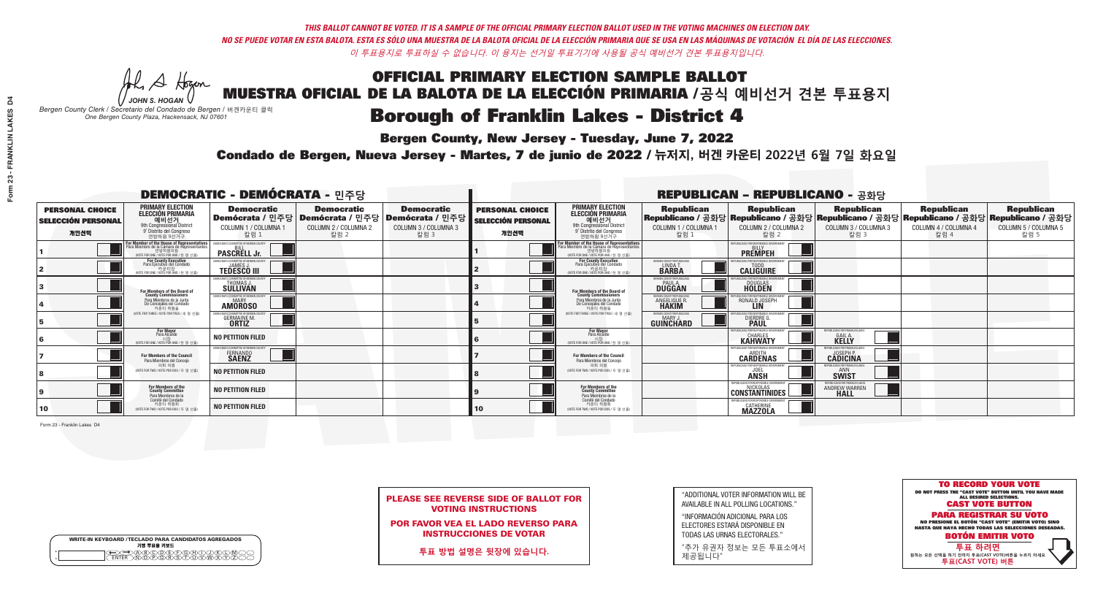**Bergen County, New Jersey - Tuesday, June 7, 2022** 

A Hogan *JOHN S. HOGAN*

| <b>WRITE-IN KEYBOARD /TECLADO PARA CANDIDATOS AGREGADOS</b><br>기명 투표용 키보드 |  |
|---------------------------------------------------------------------------|--|
| <b>BODEFORT</b><br><u>ስគለሽ እንደ አ</u>                                      |  |

*Bergen County Clerk / Secretario del Condado de Bergen /* 버겐카운티 클럭 *One Bergen County Plaza, Hackensack, NJ 07601*

Condado de Bergen, Nueva Jersey - Martes, 7 de junio de 2022 / 뉴저지, 버겐 카운티 2022년 6월 7일 화요일 *One Bergen County Plaza, Hackensack, NJ 07601*



PLEASE SEE REVERSE SIDE OF BALLOT FOR VOTING INSTRUCTIONS

POR FAVOR VEA EL LADO REVERSO PARA INSTRUCCIONES DE VOTAR

**투표 방법 설명은 뒷장에 있습니다.**

| "ADDITIONAL VOTER INFORMATION WILL BE |
|---------------------------------------|
| AVAILABLE IN ALL POLLING LOCATIONS."  |

"INFORMACIÓN ADICIONAL PARA LOS ELECTORES ESTARÁ DISPONIBLE EN TODAS LAS URNAS ELECTORALES."

"추가 유권자 정보는 모든 투표소에서 제공됩니다"

| <b>DEMOCRATIC - DEMÓCRATA - 민주당</b>                         |                                                                                                                                               |                                                                                       |                                                   |                                                                      |                                                             |                                                                                                                                                             |                                                            | <b>REPUBLICAN - REPUBLICANO - 공화당</b>                                                                                                           |                                                               |                                                   |                                                   |
|-------------------------------------------------------------|-----------------------------------------------------------------------------------------------------------------------------------------------|---------------------------------------------------------------------------------------|---------------------------------------------------|----------------------------------------------------------------------|-------------------------------------------------------------|-------------------------------------------------------------------------------------------------------------------------------------------------------------|------------------------------------------------------------|-------------------------------------------------------------------------------------------------------------------------------------------------|---------------------------------------------------------------|---------------------------------------------------|---------------------------------------------------|
| <b>PERSONAL CHOICE</b><br><b>SELECCIÓN PERSONAL</b><br>개인선택 | <b>PRIMARY ELECTION</b><br><b>ELECCIÓN PRIMARIA</b><br>예비선거<br>애비선거<br>9° Distrito del Congreso<br>연방하원 9선거구                                  | <b>Democratic</b><br>│Demócrata / 민주당│Demócrata / 민주당<br>COLUMN 1 / COLUMNA 1<br>칼럼 1 | <b>Democratic</b><br>COLUMN 2 / COLUMNA 2<br>칼럼 2 | <b>Democratic</b><br>Demócrata / 민주당<br>COLUMN 3 / COLUMNA 3<br>칼럼 3 | <b>PERSONAL CHOICE</b><br><b>SELECCIÓN PERSONAL</b><br>개인선택 | <b>PRIMARY ELECTION</b><br>ELECCIÓN PRIMARIA<br>9th Congressional District<br>9° Distrito del Congreso<br>연방하원 9선거구                                         | <b>Republican</b><br>COLUMN 1 / COLUMNA 1<br>칼럼 1          | <b>Republican</b><br>│Republicano / 공화당│Republicano / 공화당│Republicano / 공화당│Republicano / 공화당│Republicano / 공화당<br>COLUMN 2 / COLUMNA 2<br>칼럼 2 | <b>Republican</b><br>COLUMN 3 / COLUMNA 3<br>칼럼 3             | <b>Republican</b><br>COLUMN 4 / COLUMNA 4<br>칼럼 4 | <b>Republican</b><br>COLUMN 5 / COLUMNA 5<br>칼럼 5 |
|                                                             | For Member of the House of Representatives<br>Para Miembro de la Cámara de Representantes<br>연방하원의원<br>(VOTE FOR ONE / VOTE POR UNO / 한 명 선출) | <b>PASCRELL Jr.</b>                                                                   |                                                   |                                                                      |                                                             | F <mark>or Member of the House of Representatives</mark><br>Para Miembro de la Cámara de Representantes<br>연방하원의원<br>(VOTE FOR ONE / VOTE POR UNO / 한 명 선출) |                                                            | PUBLICANS FOR RESPONSIBLE GOVERNM<br><b>PREMPEH</b>                                                                                             |                                                               |                                                   |                                                   |
|                                                             | <b>For County Executive</b><br>Para Ejecutivo del Condado<br>가운티장<br>(VOTE FOR ONE / VOTE POR UNO / 한 명 선출)                                   | DEMOCRATIC COMMITTEE OF BERGEN COUNTY<br><b>TEDESCO III</b>                           |                                                   |                                                                      |                                                             | For County Executive<br>Para Ejecutivo del Condado<br>7) 카운티장<br>(VOTE FOR ONE / VOTE POR UNO / 한 명 선출)                                                     | <b>3ERGEN COUNTY REPUBLICAN:</b><br>LINDA T.               | PHRI ICANS ENR RESPONSIRI E GOVERNMEN<br><b>CALIGUIRE</b>                                                                                       |                                                               |                                                   |                                                   |
|                                                             | For Members of the Board of<br>County Commissioners                                                                                           | <b>EMOCRATIC COMMITTEE OF BERGEN COUNT</b><br>THOMAS J.                               |                                                   |                                                                      |                                                             | For Members of the Board of<br>County Commissioners                                                                                                         | ERGEN COUNTY REPUBLICAN<br><b>PAUL A.</b><br><b>DUGGAN</b> | <b>DOUGLAS</b>                                                                                                                                  |                                                               |                                                   |                                                   |
|                                                             | Para Miembros de la Junta<br>De Concejales del Condado<br>카운티 위원들                                                                             | <b><i>AOCRATIC COMMITTEE OF BERGEN COUNT</i></b><br><b>AMOROSO</b>                    |                                                   |                                                                      |                                                             | Para Miembros de la Junta<br>De Concejales del Condado<br>카우티 위원들                                                                                           | <b>ERGEN COUNTY REPUBLICAN</b><br>ANGELIQUE R              | RONALD JOSEPH<br><b>LIN</b>                                                                                                                     |                                                               |                                                   |                                                   |
|                                                             | NOTE FOR THREE / VOTE POR TRES / 세 명 선출)                                                                                                      | GERMAINE M.<br><b>ORTIZ</b>                                                           |                                                   |                                                                      |                                                             | (VOTE FOR THREE / VOTE POR TRES / 세 명 선출)                                                                                                                   | ERGEN COUNTY REPUBLICANS<br>GUINCHARD                      | DIERDRE G                                                                                                                                       |                                                               |                                                   |                                                   |
|                                                             | For Mayor<br>Para Alcalde                                                                                                                     | NO PETITION FILED                                                                     |                                                   |                                                                      |                                                             | <b>For Mayor</b><br>Para Alcalde<br>(VOTE FOR ONE / VOTE POR UNO / 한 명 선출)                                                                                  |                                                            | HRI ICANS ENR RESPONSIRI E I<br><b>CHARLES</b><br><b>KAHWATY</b>                                                                                | EPUBLICANS FOR FRANKLIN LAKES<br><b>GAILA</b><br><b>KELLY</b> |                                                   |                                                   |
|                                                             | <b>For Members of the Council</b><br>Para Miembros del Conceio                                                                                | EMOCRATIC COMMITTEE OF BERGEN COUNTY<br>FERNANDO                                      |                                                   |                                                                      |                                                             | <b>For Members of the Council</b><br>Para Miembros del Concejo                                                                                              |                                                            | PHRI ICANS ENR RESPONSIRI E GOVERNME<br><b>CARDENAS</b>                                                                                         | FPHRI ICANS FOR FRANKLIN LAKE<br><b>CADICINA</b>              |                                                   |                                                   |
|                                                             | 의회 의워<br>(VOTE FOR TWO / VOTE POR DOS / 두 명 선출)                                                                                               | <b>NO PETITION FILED</b>                                                              |                                                   |                                                                      |                                                             | 의회 의워<br>NOTE FOR TWO / VOTE POR DOS / 두 명 선출)                                                                                                              |                                                            | PUBLICANS FOR RESPONSIBLE (<br><b>ANSH</b>                                                                                                      | UBI ICANS FOR FRANKI IN I AKFS<br><b>SWIST</b>                |                                                   |                                                   |
|                                                             | For Members of the<br>County Committee<br>Para Miembros de la                                                                                 | <b>NO PETITION FILED</b>                                                              |                                                   |                                                                      |                                                             | For Members of the<br>County Committee<br>Para Miembros de la                                                                                               |                                                            | REPUBLICANS FOR RESPONSIBLE G<br><b>CONSTANTINIDES</b>                                                                                          | REPUBLICANS FOR FRANKLIN LAKES<br>ANDREW WARREN               |                                                   |                                                   |
| 10                                                          | Comité del Condado<br>카운티 위원회<br>(VOTE FOR TWO / VOTE POR DOS / 두 명 선출)                                                                       | <b>NO PETITION FILED</b>                                                              |                                                   |                                                                      | 10                                                          | Comité del Condado<br>카운티 위원회<br>(VOTE FOR TWO / VOTE POR DOS / 두 명 선출)                                                                                     |                                                            | REPUBLICANS FOR RESPONSIBLE GOVERNMEN<br>CATHERINE<br><b>MAZZOLA</b>                                                                            |                                                               |                                                   |                                                   |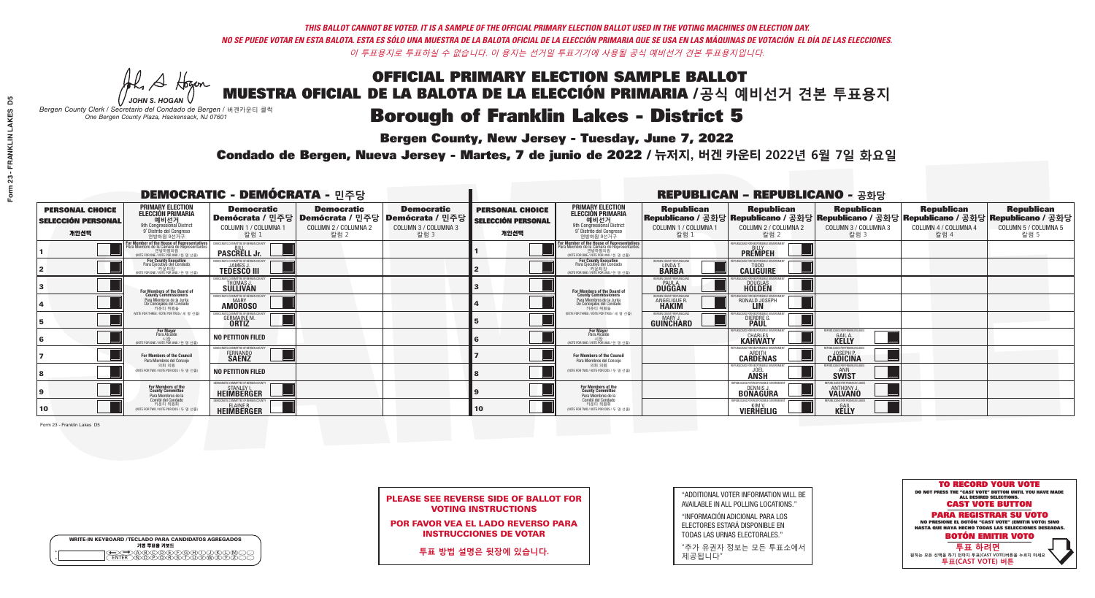**Bergen County, New Jersey - Tuesday, June 7, 2022** 

A Hogan *JOHN S. HOGAN*

| <b>WRITE-IN KEYBOARD /TECLADO PARA CANDIDATOS AGREGADOS</b><br>기명 투표용 키보드 |  |
|---------------------------------------------------------------------------|--|
| EQ<br>DECOCO CONDO CO<br><b>FNTFR</b>                                     |  |

*Bergen County Clerk / Secretario del Condado de Bergen /* 버겐카운티 클럭 *One Bergen County Plaza, Hackensack, NJ 07601*

Condado de Bergen, Nueva Jersey - Martes, 7 de junio de 2022 / 뉴저지, 버겐 카운티 2022년 6월 7일 화요일 *One Bergen County Plaza, Hackensack, NJ 07601*



PLEASE SEE REVERSE SIDE OF BALLOT FOR VOTING INSTRUCTIONS

POR FAVOR VEA EL LADO REVERSO PARA INSTRUCCIONES DE VOTAR

**투표 방법 설명은 뒷장에 있습니다.**

"ADDITIONAL VOTER INFORMATION WILL BE AVAILABLE IN ALL POLLING LOCATIONS."

"INFORMACIÓN ADICIONAL PARA LOS ELECTORES ESTARÁ DISPONIBLE EN TODAS LAS URNAS ELECTORALES."

"추가 유권자 정보는 모든 투표소에서 제공됩니다"

| <b>DEMOCRATIC - DEMÓCRATA - 민주당</b>                         |                                                                                                                                               |                                                                          |                                                   |                                                                                                        | <b>REPUBLICAN - REPUBLICANO - 공화당</b>                       |                                                                                                                                                |                                                            |                                                                                                                                                  |                                                        |                                                   |                                                   |  |
|-------------------------------------------------------------|-----------------------------------------------------------------------------------------------------------------------------------------------|--------------------------------------------------------------------------|---------------------------------------------------|--------------------------------------------------------------------------------------------------------|-------------------------------------------------------------|------------------------------------------------------------------------------------------------------------------------------------------------|------------------------------------------------------------|--------------------------------------------------------------------------------------------------------------------------------------------------|--------------------------------------------------------|---------------------------------------------------|---------------------------------------------------|--|
| <b>PERSONAL CHOICE</b><br><b>SELECCIÓN PERSONAL</b><br>개인선택 | <b>PRIMARY ELECTION</b><br><b>ELECCIÓN PRIMARIA</b><br>에비선거<br>애 Congressional District<br>9° Distrito del Congreso<br>연방하원 9선거구              | <b>Democratic</b><br>COLUMN 1 / COLUMNA 1<br>칼럼 1                        | <b>Democratic</b><br>COLUMN 2 / COLUMNA 2<br>칼럼 2 | <b>Democratic</b><br>│Demócrata / 민주당│Demócrata / 민주당│Demócrata / 민주당┃<br>COLUMN 3 / COLUMNA 3<br>칼럼 3 | <b>PERSONAL CHOICE</b><br><b>SELECCIÓN PERSONAL</b><br>개인선택 | <b>PRIMARY ELECTION</b><br>ELECCIÓN PRIMARIA<br>예비선거<br><sup>애</sup> Congressional District<br><sup>9</sup> Distrito del Congreso<br>연방하원 9선거구 | <b>Republican</b><br>COLUMN 1 / COLUMNA 1<br>칼럼 :          | <b>Republican</b><br>│Republicano / 공화당│Republicano / 공화당│Republicano / 공화당│Republicano / 공화당│Republicano / 공화당│<br>COLUMN 2 / COLUMNA 2<br>칼럼 2 | <b>Republican</b><br>COLUMN 3 / COLUMNA 3<br>칼럼 3      | <b>Republican</b><br>COLUMN 4 / COLUMNA 4<br>칼럼 4 | <b>Republican</b><br>COLUMN 5 / COLUMNA 5<br>칼럼 5 |  |
|                                                             | For Member of the House of Representatives<br>Para Miembro de la Cámara de Representantes<br>연방하원의원<br>(VOTE FOR ONE / VOTE POR UNO / 한 명 선출) | <b>PASCRELL Jr.</b>                                                      |                                                   |                                                                                                        |                                                             | For Member of the House of Representatives<br>Para Miembro de la Cámara de Representantes<br>연방하원의원<br>(VOTE FOR ONE / VOTE POR UNO / 한 명 선출)  |                                                            | <b>PREMPEH</b>                                                                                                                                   |                                                        |                                                   |                                                   |  |
|                                                             | <b>For County Executive</b><br>Para Ejecutivo del Condado<br>가운티장<br>(VOTE FOR ONE / VOTE POR UNO / 한 명 선출)                                   | DEMOCRATIC COMMITTEE OF BERGEN COUNTY<br><b>TEDESCO III</b>              |                                                   |                                                                                                        |                                                             | <b>For County Executive</b><br>Para Ejecutivo del Condado<br>가운티장<br>(VOTE FOR ONE / VOTE POR UNO / 한 명 선출)                                    | BERGEN COUNTY REPUBLICANS<br>LINDA T.                      | <b>CALIGUIRE</b>                                                                                                                                 |                                                        |                                                   |                                                   |  |
|                                                             | For Members of the Board of<br>County Commissioners                                                                                           | MOCRATIC COMMITTEE OF BERGEN COUN'<br>THOMAS J.                          |                                                   |                                                                                                        |                                                             | For Members of the Board of<br>County Commissioners                                                                                            | ERGEN COUNTY REPUBLICAN<br><b>PAUL A.</b><br><b>DUGGAN</b> | <b>DOUGLAS</b><br><b>HOLDEN</b>                                                                                                                  |                                                        |                                                   |                                                   |  |
|                                                             | Para Miembros de la Junta<br>De Concejales del Condado<br>카우티 위원들                                                                             | <b>IMOCRATIC COMMITTEE OF BERGEN COUNTY</b><br><b>AMOROSO</b>            |                                                   |                                                                                                        |                                                             | Para Miembros de la Junta<br>De Concejales del Condado<br>카운티 위원들                                                                              | BERGEN COUNTY REPUBLICANS<br>ANGELIQUE R.                  | BLICANS FOR RESPONSIBLE GOVERNMEN<br>RONALD JOSEPH                                                                                               |                                                        |                                                   |                                                   |  |
|                                                             | (VOTE FOR THREE / VOTE POR TRES / 세 명 선출)                                                                                                     | ATIC COMMITTEE OF BERGEN COUNT<br><b>GERMAINE M.</b>                     |                                                   |                                                                                                        |                                                             | (VOTE FOR THREE / VOTE POR TRES / 세 명 선출)                                                                                                      | ERGEN COUNTY REPUBLICAN<br><b>GUINCHARD</b>                | DIERDRE G                                                                                                                                        |                                                        |                                                   |                                                   |  |
|                                                             | For Mayor<br>Para Alcalde<br>시장<br>(VOTE FOR ONE / VOTE POR UNO / 한 명 선)                                                                      | <b>NO PETITION FILED</b>                                                 |                                                   |                                                                                                        |                                                             | <b>For Mayor</b><br>Para Alcalde<br>NOTE FOR ONE / VOTE POR UNO / 한 명 선출                                                                       |                                                            | <b>CHARLES</b><br><b>KAHWATY</b>                                                                                                                 | PUBLICANS FOR FRANKLIN LAKE<br><b>GAIL A.</b><br>KELLY |                                                   |                                                   |  |
|                                                             | For Members of the Council<br>Para Miembros del Conceio                                                                                       | MOCRATIC COMMITTEE OF BERGEN COUNTY<br>FERNANDO<br><b>SAENZ</b>          |                                                   |                                                                                                        |                                                             | <b>For Members of the Council</b><br>Para Miembros del Conceio                                                                                 |                                                            | PUBLICANS FOR RESPONSIBLE GO'<br><b>CARDENAS</b>                                                                                                 | CANS FOR FRANKLIN LAKE<br><b>CADICINA</b>              |                                                   |                                                   |  |
|                                                             | 의회 의원<br>(VOTE FOR TWO / VOTE POR DOS / 두 명 선출)                                                                                               | NO PETITION FILED                                                        |                                                   |                                                                                                        |                                                             | 의회 의원<br>WOTE FOR TWO / VOTE POR DOS / 두 명 선출)                                                                                                 |                                                            | PUBLICANS FOR RESPONSIBLE GOVERNMENT<br><b>JOEL</b><br><b>ANSH</b>                                                                               | PUBLICANS FOR FRANKLIN LAKE<br><b>SWIST</b>            |                                                   |                                                   |  |
|                                                             | For Members of the<br>County Committee<br>Para Miembros de la                                                                                 | EMOCRATIC COMMITTEE OF BERGEN COUNTY<br><b>EXAMPLEY I.</b><br>HEIMBERGER |                                                   |                                                                                                        |                                                             | For Members of the<br>County Committee<br>Para Miembros de la<br>Comité del Condado                                                            |                                                            | REPUBLICANS FOR RESPONSIBLE G<br><b>DENNIS</b><br><b>BONAGURA</b>                                                                                | <b>UBLICANS FOR FRANKLIN LAKE</b><br>ANTHONY J.        |                                                   |                                                   |  |
| 10                                                          | Comité del Condado<br>카운티 위원회<br>(VOTE FOR TWO / VOTE POR DOS / 두 명 선출)                                                                       | DEMOCRATIC COMMITTEE OF BERGEN COUNTY<br>ELAINE R.                       |                                                   |                                                                                                        | 10                                                          | 카운티 위원회<br>(VOTE FOR TWO / VOTE POR DOS / 두 명 선출)                                                                                              |                                                            | REPUBLICANS FOR RESPONSIBLE GOVERNME<br><b>VIERHEILIG</b>                                                                                        | <b>ILICANS FOR FRANKLIN LAK</b><br><b>KELLY</b>        |                                                   |                                                   |  |